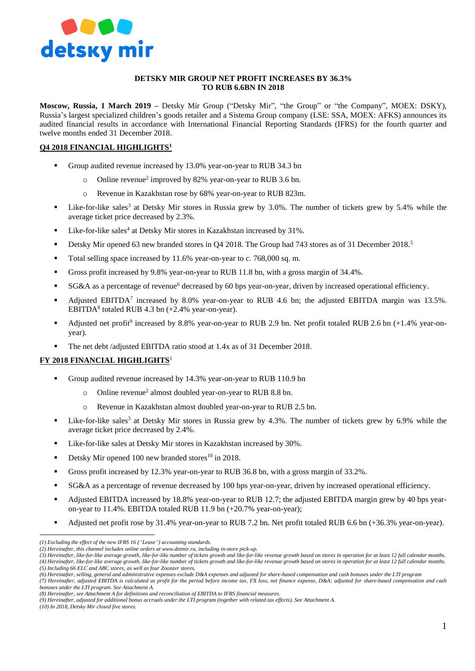

#### **DETSKY MIR GROUP NET PROFIT INCREASES BY 36.3% TO RUB 6.6BN IN 2018**

**Moscow, Russia, 1 March 2019 –** Detsky Mir Group ("Detsky Mir", "the Group" or "the Company", MOEX: DSKY), Russia's largest specialized children's goods retailer and a Sistema Group company (LSE: SSA, MOEX: AFKS) announces its audited financial results in accordance with International Financial Reporting Standards (IFRS) for the fourth quarter and twelve months ended 31 December 2018.

# **Q4 2018 FINANCIAL HIGHLIGHTS<sup>1</sup>**

- Group audited revenue increased by 13.0% year-on-year to RUB 34.3 bn
	- o Online revenue<sup>2</sup> improved by 82% year-on-year to RUB 3.6 bn.
	- o Revenue in Kazakhstan rose by 68% year-on-year to RUB 823m.
- **Example 1** Like-for-like sales<sup>3</sup> at Detsky Mir stores in Russia grew by 3.0%. The number of tickets grew by 5.4% while the average ticket price decreased by 2.3%.
- $\blacksquare$  Like-for-like sales<sup>4</sup> at Detsky Mir stores in Kazakhstan increased by 31%.
- Detsky Mir opened 63 new branded stores in Q4 2018. The Group had 743 stores as of 31 December 2018.<sup>5</sup>
- Total selling space increased by 11.6% year-on-year to c. 768,000 sq. m.
- Gross profit increased by 9.8% year-on-year to RUB 11.8 bn, with a gross margin of 34.4%.
- SG&A as a percentage of revenue<sup>6</sup> decreased by 60 bps year-on-year, driven by increased operational efficiency.
- Adjusted EBITDA<sup>7</sup> increased by 8.0% year-on-year to RUB 4.6 bn; the adjusted EBITDA margin was 13.5%. EBITDA<sup>8</sup> totaled RUB 4.3 bn  $(+2.4\%$  year-on-year).
- Adjusted net profit<sup>9</sup> increased by 8.8% year-on-year to RUB 2.9 bn. Net profit totaled RUB 2.6 bn  $(+1.4\%$  year-onyear).
- The net debt /adjusted EBITDA ratio stood at 1.4x as of 31 December 2018.

## **FY 2018 FINANCIAL HIGHLIGHTS**<sup>1</sup>

- Group audited revenue increased by 14.3% year-on-year to RUB 110.9 bn
	- $\circ$  Online revenue<sup>2</sup> almost doubled year-on-year to RUB 8.8 bn.
	- o Revenue in Kazakhstan almost doubled year-on-year to RUB 2.5 bn.
- **Example 1** Like-for-like sales<sup>3</sup> at Detsky Mir stores in Russia grew by 4.3%. The number of tickets grew by 6.9% while the average ticket price decreased by 2.4%.
- Like-for-like sales at Detsky Mir stores in Kazakhstan increased by 30%.
- Detsky Mir opened 100 new branded stores<sup>10</sup> in 2018.
- Gross profit increased by 12.3% year-on-year to RUB 36.8 bn, with a gross margin of 33.2%.
- SG&A as a percentage of revenue decreased by 100 bps year-on-year, driven by increased operational efficiency.
- Adjusted EBITDA increased by 18.8% year-on-year to RUB 12.7; the adjusted EBITDA margin grew by 40 bps yearon-year to 11.4%. EBITDA totaled RUB 11.9 bn (+20.7% year-on-year);
- Adjusted net profit rose by 31.4% year-on-year to RUB 7.2 bn. Net profit totaled RUB 6.6 bn (+36.3% year-on-year).

*(5) Including 66 ELC and ABC stores, as well as four Zoozavr stores.* 

*bonuses under the LTI program. See Attachment A.*

*(10) In 2018, Detsky Mir closed five stores.*

 $\overline{a}$ 

*<sup>(1)</sup> Excluding the effect of the new IFRS 16 ("Lease") accounting standards.* 

*<sup>(2)</sup> Hereinafter, this channel includes online orders at [www.detmir.ru,](http://www.detmir.ru/) including in-store pick-up.*

*<sup>(3)</sup> Hereinafter, like-for-like average growth, like-for-like number of tickets growth and like-for-like revenue growth based on stores in operation for at least 12 full calendar months. (4) Hereinafter, like-for-like average growth, like-for-like number of tickets growth and like-for-like revenue growth based on stores in operation for at least 12 full calendar months.*

*<sup>(6)</sup> Hereinafter, selling, general and administrative expenses exclude D&A expenses and adjusted for share-based compensation and cash bonuses under the LTI program (7) Hereinafter, adjusted EBITDA is calculated as profit for the period before income tax, FX loss, net finance expense, D&A; adjusted for share-based compensation and cash* 

*<sup>(8)</sup> Hereinafter, see Attachment A for definitions and reconciliation of EBITDA to IFRS financial measures.*

*<sup>(9)</sup> Hereinafter, adjusted for additional bonus accruals under the LTI program (together with related tax effects). See Attachment A.*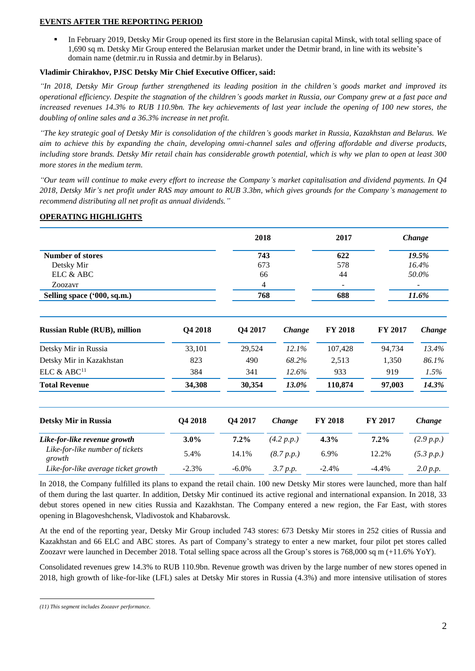### **EVENTS AFTER THE REPORTING PERIOD**

In February 2019, Detsky Mir Group opened its first store in the Belarusian capital Minsk, with total selling space of 1,690 sq m. Detsky Mir Group entered the Belarusian market under the Detmir brand, in line with its website's domain name (detmir.ru in Russia and detmir.by in Belarus).

## **Vladimir Chirakhov, PJSC Detsky Mir Chief Executive Officer, said:**

*"In 2018, Detsky Mir Group further strengthened its leading position in the children's goods market and improved its operational efficiency. Despite the stagnation of the children's goods market in Russia, our Company grew at a fast pace and increased revenues 14.3% to RUB 110.9bn. The key achievements of last year include the opening of 100 new stores, the doubling of online sales and a 36.3% increase in net profit.* 

*"The key strategic goal of Detsky Mir is consolidation of the children's goods market in Russia, Kazakhstan and Belarus. We aim to achieve this by expanding the chain, developing omni-channel sales and offering affordable and diverse products, including store brands. Detsky Mir retail chain has considerable growth potential, which is why we plan to open at least 300 more stores in the medium term.* 

*"Our team will continue to make every effort to increase the Company's market capitalisation and dividend payments. In Q4 2018, Detsky Mir's net profit under RAS may amount to RUB 3.3bn, which gives grounds for the Company's management to recommend distributing all net profit as annual dividends."*

## **OPERATING HIGHLIGHTS**

|                                           |         |          | 2018       | 2017           |         | Change     |
|-------------------------------------------|---------|----------|------------|----------------|---------|------------|
| <b>Number of stores</b>                   |         |          | 743        | 622            |         | 19.5%      |
| Detsky Mir                                |         |          | 673        | 578            |         | 16.4%      |
| ELC & ABC                                 |         |          | 66         | 44             |         | 50.0%      |
| Zoozavr                                   |         |          | 4          |                |         |            |
| Selling space ('000, sq.m.)               |         |          | 768        | 688            |         | 11.6%      |
| <b>Russian Ruble (RUB), million</b>       | Q4 2018 | Q4 2017  | Change     | <b>FY 2018</b> | FY 2017 | Change     |
| Detsky Mir in Russia                      | 33,101  | 29,524   | 12.1%      | 107,428        | 94,734  | 13.4%      |
| Detsky Mir in Kazakhstan                  | 823     | 490      | 68.2%      | 2,513          | 1,350   | 86.1%      |
| ELC & ABC <sup>11</sup>                   | 384     | 341      | 12.6%      | 933            | 919     | 1.5%       |
| <b>Total Revenue</b>                      | 34,308  | 30,354   | 13.0%      | 110,874        | 97,003  | 14.3%      |
| <b>Detsky Mir in Russia</b>               | Q4 2018 | Q4 2017  | Change     | <b>FY 2018</b> | FY 2017 | Change     |
| Like-for-like revenue growth              | 3.0%    | 7.2%     | (4.2 p.p.) | 4.3%           | 7.2%    | (2.9 p.p.) |
| Like-for-like number of tickets<br>growth | 5.4%    | 14.1%    | (8.7 p.p.) | 6.9%           | 12.2%   | (5.3 p.p.) |
| Like-for-like average ticket growth       | $-2.3%$ | $-6.0\%$ | 3.7 p.p.   | $-2.4%$        | $-4.4%$ | 2.0 p.p.   |

In 2018, the Company fulfilled its plans to expand the retail chain. 100 new Detsky Mir stores were launched, more than half of them during the last quarter. In addition, Detsky Mir continued its active regional and international expansion. In 2018, 33 debut stores opened in new cities Russia and Kazakhstan. The Company entered a new region, the Far East, with stores opening in Blagoveshchensk, Vladivostok and Khabarovsk.

At the end of the reporting year, Detsky Mir Group included 743 stores: 673 Detsky Mir stores in 252 cities of Russia and Kazakhstan and 66 ELC and ABC stores. As part of Company's strategy to enter a new market, four pilot pet stores called Zoozavr were launched in December 2018. Total selling space across all the Group's stores is 768,000 sq m (+11.6% YoY).

Consolidated revenues grew 14.3% to RUB 110.9bn. Revenue growth was driven by the large number of new stores opened in 2018, high growth of like-for-like (LFL) sales at Detsky Mir stores in Russia (4.3%) and more intensive utilisation of stores

 $\overline{a}$ *(11) This segment includes Zoozavr performance.*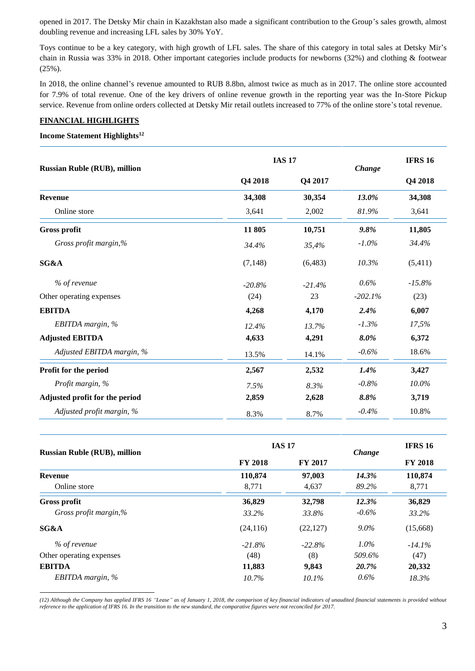opened in 2017. The Detsky Mir chain in Kazakhstan also made a significant contribution to the Group's sales growth, almost doubling revenue and increasing LFL sales by 30% YoY.

Toys continue to be a key category, with high growth of LFL sales. The share of this category in total sales at Detsky Mir's chain in Russia was 33% in 2018. Other important categories include products for newborns (32%) and clothing & footwear (25%).

In 2018, the online channel's revenue amounted to RUB 8.8bn, almost twice as much as in 2017. The online store accounted for 7.9% of total revenue. One of the key drivers of online revenue growth in the reporting year was the In-Store Pickup service. Revenue from online orders collected at Detsky Mir retail outlets increased to 77% of the online store's total revenue.

## **FINANCIAL HIGHLIGHTS**

#### **Income Statement Highlights<sup>12</sup>**

 $\overline{a}$ 

| <b>Russian Ruble (RUB), million</b> |          | <b>IAS 17</b> |           |          |
|-------------------------------------|----------|---------------|-----------|----------|
|                                     | Q4 2018  | Q4 2017       | Change    | Q4 2018  |
| <b>Revenue</b>                      | 34,308   | 30,354        | 13.0%     | 34,308   |
| Online store                        | 3,641    | 2,002         | 81.9%     | 3,641    |
| <b>Gross profit</b>                 | 11 805   | 10,751        | 9.8%      | 11,805   |
| Gross profit margin,%               | 34.4%    | 35,4%         | $-1.0\%$  | 34.4%    |
| SG&A                                | (7, 148) | (6,483)       | 10.3%     | (5,411)  |
| % of revenue                        | $-20.8%$ | $-21.4%$      | 0.6%      | $-15.8%$ |
| Other operating expenses            | (24)     | 23            | $-202.1%$ | (23)     |
| <b>EBITDA</b>                       | 4,268    | 4,170         | 2.4%      | 6,007    |
| EBITDA margin, $%$                  | 12.4%    | 13.7%         | $-1.3%$   | 17,5%    |
| <b>Adjusted EBITDA</b>              | 4,633    | 4,291         | 8.0%      | 6,372    |
| Adjusted EBITDA margin, %           | 13.5%    | 14.1%         | $-0.6%$   | 18.6%    |
| Profit for the period               | 2,567    | 2,532         | 1.4%      | 3,427    |
| Profit margin, %                    | 7.5%     | 8.3%          | $-0.8%$   | $10.0\%$ |
| Adjusted profit for the period      | 2,859    | 2,628         | 8.8%      | 3,719    |
| Adjusted profit margin, %           | 8.3%     | 8.7%          | $-0.4%$   | 10.8%    |

| <b>Russian Ruble (RUB), million</b> | <b>IAS 17</b>  | Change         | <b>IFRS 16</b> |                |
|-------------------------------------|----------------|----------------|----------------|----------------|
|                                     | <b>FY 2018</b> | <b>FY 2017</b> |                | <b>FY 2018</b> |
| <b>Revenue</b>                      | 110,874        | 97,003         | 14.3%          | 110.874        |
| Online store                        | 8,771          | 4,637          | 89.2%          | 8,771          |
| <b>Gross profit</b>                 | 36,829         | 32,798         | 12.3%          | 36,829         |
| Gross profit margin,%               | 33.2%          | 33.8%          | $-0.6\%$       | 33.2%          |
| SG&A                                | (24, 116)      | (22, 127)      | $9.0\%$        | (15,668)       |
| % of revenue                        | $-21.8%$       | $-22.8%$       | $1.0\%$        | $-14.1\%$      |
| Other operating expenses            | (48)           | (8)            | 509.6%         | (47)           |
| <b>EBITDA</b>                       | 11,883         | 9,843          | 20.7%          | 20,332         |
| EBITDA margin, %                    | 10.7%          | 10.1%          | $0.6\%$        | 18.3%          |

*(12) Although the Company has applied IFRS 16 "Lease" as of January 1, 2018, the comparison of key financial indicators of unaudited financial statements is provided without reference to the application of IFRS 16. In the transition to the new standard, the comparative figures were not reconciled for 2017.*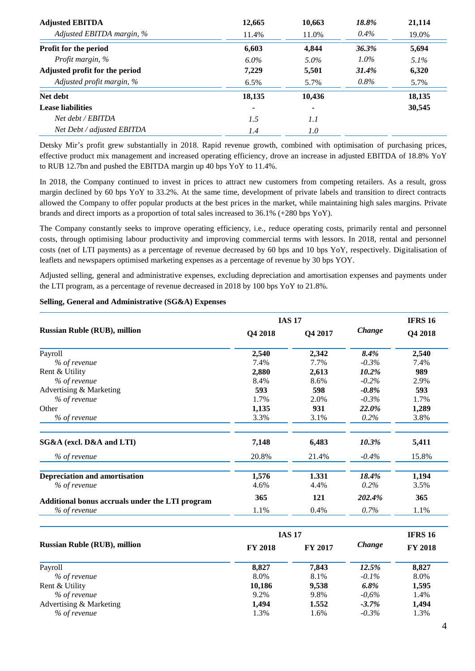| <b>Adjusted EBITDA</b>         | 12,665  | 10,663         | 18.8%   | 21,114  |
|--------------------------------|---------|----------------|---------|---------|
| Adjusted EBITDA margin, %      | 11.4%   | 11.0%          | $0.4\%$ | 19.0%   |
| Profit for the period          | 6,603   | 4,844          | 36.3%   | 5,694   |
| Profit margin, %               | $6.0\%$ | $5.0\%$        | $1.0\%$ | $5.1\%$ |
| Adjusted profit for the period | 7,229   | 5,501          | 31.4%   | 6,320   |
| Adjusted profit margin, %      | $6.5\%$ | 5.7%           | $0.8\%$ | 5.7%    |
| Net debt                       | 18,135  | 10,436         |         | 18,135  |
| <b>Lease liabilities</b>       | ۰       | $\blacksquare$ |         | 30,545  |
| Net debt / EBITDA              | 1.5     | 1.1            |         |         |
| Net Debt / adjusted EBITDA     | 1.4     | 1.0            |         |         |

Detsky Mir's profit grew substantially in 2018. Rapid revenue growth, combined with optimisation of purchasing prices, effective product mix management and increased operating efficiency, drove an increase in adjusted EBITDA of 18.8% YoY to RUB 12.7bn and pushed the EBITDA margin up 40 bps YoY to 11.4%.

In 2018, the Company continued to invest in prices to attract new customers from competing retailers. As a result, gross margin declined by 60 bps YoY to 33.2%. At the same time, development of private labels and transition to direct contracts allowed the Company to offer popular products at the best prices in the market, while maintaining high sales margins. Private brands and direct imports as a proportion of total sales increased to 36.1% (+280 bps YoY).

The Company constantly seeks to improve operating efficiency, i.e., reduce operating costs, primarily rental and personnel costs, through optimising labour productivity and improving commercial terms with lessors. In 2018, rental and personnel costs (net of LTI payments) as a percentage of revenue decreased by 60 bps and 10 bps YoY, respectively. Digitalisation of leaflets and newspapers optimised marketing expenses as a percentage of revenue by 30 bps YOY.

Adjusted selling, general and administrative expenses, excluding depreciation and amortisation expenses and payments under the LTI program, as a percentage of revenue decreased in 2018 by 100 bps YoY to 21.8%.

|                                                 |         | <b>IAS 17</b> |         | <b>IFRS 16</b> |  |
|-------------------------------------------------|---------|---------------|---------|----------------|--|
| <b>Russian Ruble (RUB), million</b>             | Q4 2018 | Q4 2017       | Change  | Q4 2018        |  |
| Payroll                                         | 2,540   | 2,342         | 8.4%    | 2,540          |  |
| % of revenue                                    | 7.4%    | 7.7%          | $-0.3%$ | 7.4%           |  |
| Rent & Utility                                  | 2,880   | 2,613         | 10.2%   | 989            |  |
| % of revenue                                    | 8.4%    | 8.6%          | $-0.2%$ | 2.9%           |  |
| Advertising & Marketing                         | 593     | 598           | $-0.8%$ | 593            |  |
| % of revenue                                    | 1.7%    | 2.0%          | $-0.3%$ | 1.7%           |  |
| Other                                           | 1,135   | 931           | 22.0%   | 1,289          |  |
| % of revenue                                    | 3.3%    | 3.1%          | 0.2%    | 3.8%           |  |
| SG&A (excl. D&A and LTI)                        | 7,148   | 6,483         | 10.3%   | 5,411          |  |
| % of revenue                                    | 20.8%   | 21.4%         | $-0.4%$ | 15.8%          |  |
| <b>Depreciation and amortisation</b>            | 1,576   | 1.331         | 18.4%   | 1,194          |  |
| % of revenue                                    | 4.6%    | 4.4%          | 0.2%    | 3.5%           |  |
| Additional bonus accruals under the LTI program | 365     | 121           | 202.4%  | 365            |  |
| % of revenue                                    | 1.1%    | 0.4%          | 0.7%    | 1.1%           |  |
|                                                 |         | <b>IAS 17</b> |         | <b>IFRS 16</b> |  |
| <b>Russian Ruble (RUB), million</b>             | FY 2018 | FY 2017       | Change  | <b>FY 2018</b> |  |
| Payroll                                         | 8,827   | 7,843         | 12.5%   | 8,827          |  |
| % of revenue                                    | 8.0%    | 8.1%          | $-0.1%$ | 8.0%           |  |
| Rent & Utility                                  | 10,186  | 9,538         | 6.8%    | 1,595          |  |
| % of revenue                                    | 9.2%    | 9.8%          | $-0.6%$ | 1.4%           |  |
| Advertising & Marketing                         | 1,494   | 1.552         | $-3.7%$ | 1,494          |  |
| % of revenue                                    | 1.3%    | 1.6%          | $-0.3%$ | 1.3%           |  |

### **Selling, General and Administrative (SG&A) Expenses**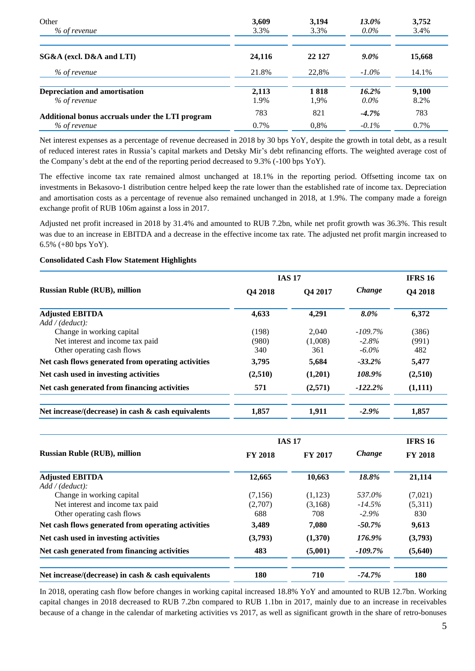| Other                                           | 3,609   | 3,194  | <b>13.0%</b> | 3,752  |
|-------------------------------------------------|---------|--------|--------------|--------|
| % of revenue                                    | 3.3%    | 3.3%   | $0.0\%$      | 3.4%   |
| SG&A (excl. D&A and LTI)                        | 24,116  | 22 127 | $9.0\%$      | 15,668 |
| % of revenue                                    | 21.8%   | 22.8%  | $-1.0\%$     | 14.1%  |
| Depreciation and amortisation                   | 2,113   | 1818   | 16.2%        | 9,100  |
| % of revenue                                    | 1.9%    | 1,9%   | $0.0\%$      | 8.2%   |
| Additional bonus accruals under the LTI program | 783     | 821    | $-4.7\%$     | 783    |
| % of revenue                                    | $0.7\%$ | 0.8%   | $-0.1\%$     | 0.7%   |

Net interest expenses as a percentage of revenue decreased in 2018 by 30 bps YoY, despite the growth in total debt, as a result of reduced interest rates in Russia's capital markets and Detsky Mir's debt refinancing efforts. The weighted average cost of the Company's debt at the end of the reporting period decreased to 9.3% (-100 bps YoY).

The effective income tax rate remained almost unchanged at 18.1% in the reporting period. Offsetting income tax on investments in Bekasovo-1 distribution centre helped keep the rate lower than the established rate of income tax. Depreciation and amortisation costs as a percentage of revenue also remained unchanged in 2018, at 1.9%. The company made a foreign exchange profit of RUB 106m against a loss in 2017.

Adjusted net profit increased in 2018 by 31.4% and amounted to RUB 7.2bn, while net profit growth was 36.3%. This result was due to an increase in EBITDA and a decrease in the effective income tax rate. The adjusted net profit margin increased to 6.5% (+80 bps YoY).

### **Consolidated Cash Flow Statement Highlights**

|                                                                                                                | <b>IAS 17</b>         |                         |                                    | <b>IFRS 16</b>        |  |
|----------------------------------------------------------------------------------------------------------------|-----------------------|-------------------------|------------------------------------|-----------------------|--|
| <b>Russian Ruble (RUB), million</b>                                                                            | <b>O4 2018</b>        | <b>O4 2017</b>          | Change                             | Q4 2018               |  |
| <b>Adjusted EBITDA</b>                                                                                         | 4,633                 | 4,291                   | 8.0%                               | 6,372                 |  |
| Add / (deduct):<br>Change in working capital<br>Net interest and income tax paid<br>Other operating cash flows | (198)<br>(980)<br>340 | 2.040<br>(1,008)<br>361 | $-109.7\%$<br>$-2.8\%$<br>$-6.0\%$ | (386)<br>(991)<br>482 |  |
| Net cash flows generated from operating activities                                                             | 3,795                 | 5,684                   | $-33.2\%$                          | 5,477                 |  |
| Net cash used in investing activities                                                                          | (2,510)               | (1,201)                 | 108.9%                             | (2,510)               |  |
| Net cash generated from financing activities                                                                   | 571                   | (2,571)                 | $-122.2%$                          | (1,111)               |  |
| Net increase/(decrease) in cash $\&$ cash equivalents                                                          | 1,857                 | 1,911                   | $-2.9\%$                           | 1,857                 |  |

|                                                       |                | <b>IAS 17</b>  |           | <b>IFRS 16</b> |  |
|-------------------------------------------------------|----------------|----------------|-----------|----------------|--|
| <b>Russian Ruble (RUB), million</b>                   | <b>FY 2018</b> | <b>FY 2017</b> | Change    | <b>FY 2018</b> |  |
| <b>Adjusted EBITDA</b>                                | 12,665         | 10,663         | 18.8%     | 21,114         |  |
| Add / (deduct):                                       |                |                |           |                |  |
| Change in working capital                             | (7,156)        | (1,123)        | 537.0%    | (7,021)        |  |
| Net interest and income tax paid                      | (2,707)        | (3,168)        | $-14.5%$  | (5,311)        |  |
| Other operating cash flows                            | 688            | 708            | $-2.9\%$  | 830            |  |
| Net cash flows generated from operating activities    | 3,489          | 7,080          | $-50.7\%$ | 9,613          |  |
| Net cash used in investing activities                 | (3,793)        | (1,370)        | 176.9%    | (3,793)        |  |
| Net cash generated from financing activities          | 483            | (5,001)        | $-109.7%$ | (5,640)        |  |
| Net increase/(decrease) in cash $\&$ cash equivalents | 180            | 710            | $-74.7%$  | 180            |  |

In 2018, operating cash flow before changes in working capital increased 18.8% YoY and amounted to RUB 12.7bn. Working capital changes in 2018 decreased to RUB 7.2bn compared to RUB 1.1bn in 2017, mainly due to an increase in receivables because of a change in the calendar of marketing activities vs 2017, as well as significant growth in the share of retro-bonuses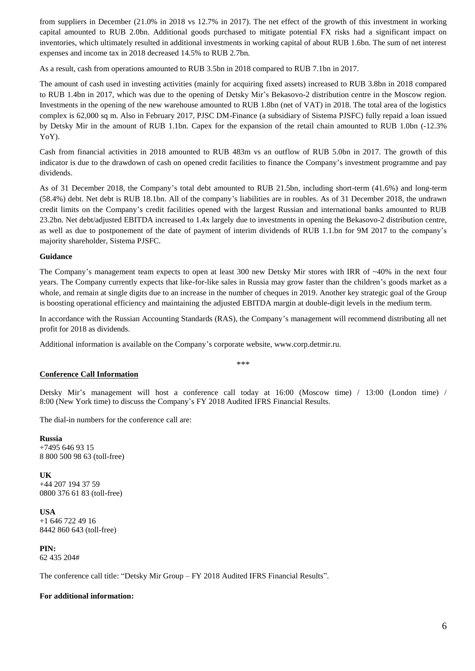from suppliers in December (21.0% in 2018 vs 12.7% in 2017). The net effect of the growth of this investment in working capital amounted to RUB 2.0bn. Additional goods purchased to mitigate potential FX risks had a significant impact on inventories, which ultimately resulted in additional investments in working capital of about RUB 1.6bn. The sum of net interest expenses and income tax in 2018 decreased 14.5% to RUB 2.7bn.

As a result, cash from operations amounted to RUB 3.5bn in 2018 compared to RUB 7.1bn in 2017.

The amount of cash used in investing activities (mainly for acquiring fixed assets) increased to RUB 3.8bn in 2018 compared to RUB 1.4bn in 2017, which was due to the opening of Detsky Mir's Bekasovo-2 distribution centre in the Moscow region. Investments in the opening of the new warehouse amounted to RUB 1.8bn (net of VAT) in 2018. The total area of the logistics complex is 62,000 sq m. Also in February 2017, PJSC DM-Finance (a subsidiary of Sistema PJSFC) fully repaid a loan issued by Detsky Mir in the amount of RUB 1.1bn. Capex for the expansion of the retail chain amounted to RUB 1.0bn (-12.3% YoY).

Cash from financial activities in 2018 amounted to RUB 483m vs an outflow of RUB 5.0bn in 2017. The growth of this indicator is due to the drawdown of cash on opened credit facilities to finance the Company's investment programme and pay dividends.

As of 31 December 2018, the Company's total debt amounted to RUB 21.5bn, including short-term (41.6%) and long-term (58.4%) debt. Net debt is RUB 18.1bn. All of the company's liabilities are in roubles. As of 31 December 2018, the undrawn credit limits on the Company's credit facilities opened with the largest Russian and international banks amounted to RUB 23.2bn. Net debt/adjusted EBITDA increased to 1.4x largely due to investments in opening the Bekasovo-2 distribution centre, as well as due to postponement of the date of payment of interim dividends of RUB 1.1.bn for 9M 2017 to the company's majority shareholder, Sistema PJSFC.

#### **Guidance**

The Company's management team expects to open at least 300 new Detsky Mir stores with IRR of ~40% in the next four years. The Company currently expects that like-for-like sales in Russia may grow faster than the children's goods market as a whole, and remain at single digits due to an increase in the number of cheques in 2019. Another key strategic goal of the Group is boosting operational efficiency and maintaining the adjusted EBITDA margin at double-digit levels in the medium term.

In accordance with the Russian Accounting Standards (RAS), the Company's management will recommend distributing all net profit for 2018 as dividends.

Additional information is available on the Company's corporate website, www.corp.detmir.ru.

### **Conference Call Information**

Detsky Mir's management will host a conference call today at 16:00 (Moscow time) / 13:00 (London time) / 8:00 (New York time) to discuss the Company's FY 2018 Audited IFRS Financial Results.

\*\*\*

The dial-in numbers for the conference call are:

**Russia**  +7495 646 93 15 8 800 500 98 63 (toll-free)

**UK** +44 207 194 37 59 0800 376 61 83 (toll-free)

**USA** +1 646 722 49 16 8442 860 643 (toll-free)

**PIN:** 62 435 204#

The conference call title: "Detsky Mir Group – FY 2018 Audited IFRS Financial Results".

#### **For additional information:**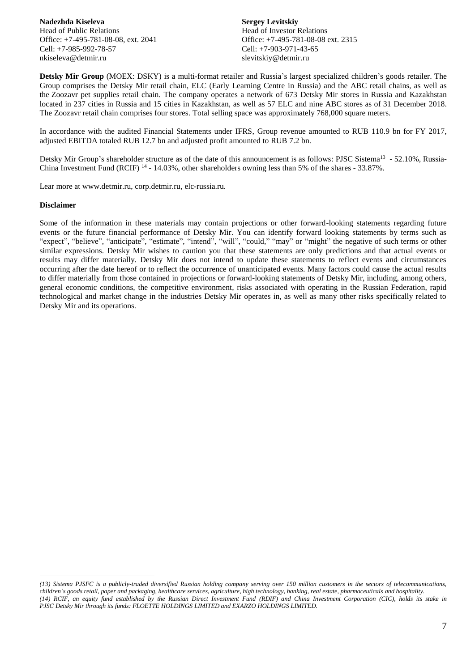**Nadezhda Kiseleva** Head of Public Relations Office: +7-495-781-08-08, ext. 2041 Cell: +7-985-992-78-57 nkiseleva@detmir.ru

**Sergey Levitskiy** Head of Investor Relations Office: +7-495-781-08-08 ext. 2315 Cell: +7-903-971-43-65 slevitskiy@detmir.ru

**Detsky Mir Group** (MOEX: DSKY) is a multi-format retailer and Russia's largest specialized children's goods retailer. The Group comprises the Detsky Mir retail chain, ELC (Early Learning Centre in Russia) and the ABC retail chains, as well as the Zoozavr pet supplies retail chain. The company operates a network of 673 Detsky Mir stores in Russia and Kazakhstan located in 237 cities in Russia and 15 cities in Kazakhstan, as well as 57 ELC and nine ABC stores as of 31 December 2018. The Zoozavr retail chain comprises four stores. Total selling space was approximately 768,000 square meters.

In accordance with the audited Financial Statements under IFRS, Group revenue amounted to RUB 110.9 bn for FY 2017, adjusted EBITDA totaled RUB 12.7 bn and adjusted profit amounted to RUB 7.2 bn.

Detsky Mir Group's shareholder structure as of the date of this announcement is as follows: PJSC Sistema<sup>13</sup> - 52.10%, Russia-China Investment Fund (RCIF)<sup>14</sup> - 14.03%, other shareholders owning less than 5% of the shares - 33.87%.

Lear more at www.detmir.ru, corp.detmir.ru, elc-russia.ru.

#### **Disclaimer**

 $\overline{a}$ 

Some of the information in these materials may contain projections or other forward-looking statements regarding future events or the future financial performance of Detsky Mir. You can identify forward looking statements by terms such as "expect", "believe", "anticipate", "estimate", "intend", "will", "could," "may" or "might" the negative of such terms or other similar expressions. Detsky Mir wishes to caution you that these statements are only predictions and that actual events or results may differ materially. Detsky Mir does not intend to update these statements to reflect events and circumstances occurring after the date hereof or to reflect the occurrence of unanticipated events. Many factors could cause the actual results to differ materially from those contained in projections or forward-looking statements of Detsky Mir, including, among others, general economic conditions, the competitive environment, risks associated with operating in the Russian Federation, rapid technological and market change in the industries Detsky Mir operates in, as well as many other risks specifically related to Detsky Mir and its operations.

*<sup>(13)</sup> Sistema PJSFC is a publicly-traded diversified Russian holding company serving over 150 million customers in the sectors of telecommunications, children's goods retail, paper and packaging, healthcare services, agriculture, high technology, banking, real estate, pharmaceuticals and hospitality. (14) RCIF, an equity fund established by the Russian Direct Investment Fund (RDIF) and China Investment Corporation (CIC), holds its stake in PJSC Detsky Mir through its funds: FLOETTE HOLDINGS LIMITED and EXARZO HOLDINGS LIMITED.*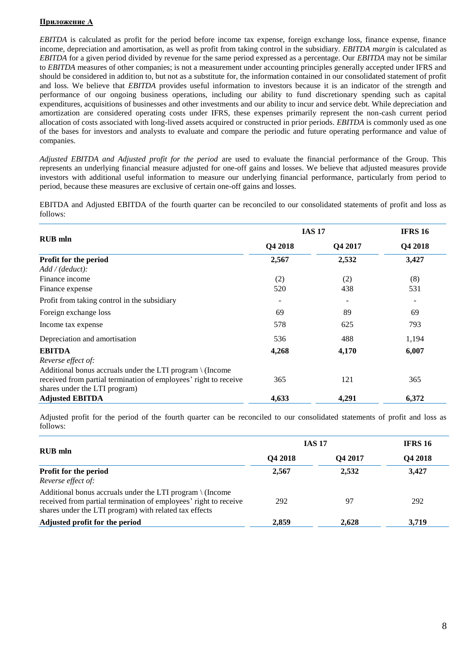# **Приложение А**

*EBITDA* is calculated as profit for the period before income tax expense, foreign exchange loss, finance expense, finance income, depreciation and amortisation, as well as profit from taking control in the subsidiary. *EBITDA margin* is calculated as *EBITDA* for a given period divided by revenue for the same period expressed as a percentage. Our *EBITDA* may not be similar to *EBITDA* measures of other companies; is not a measurement under accounting principles generally accepted under IFRS and should be considered in addition to, but not as a substitute for, the information contained in our consolidated statement of profit and loss. We believe that *EBITDA* provides useful information to investors because it is an indicator of the strength and performance of our ongoing business operations, including our ability to fund discretionary spending such as capital expenditures, acquisitions of businesses and other investments and our ability to incur and service debt. While depreciation and amortization are considered operating costs under IFRS, these expenses primarily represent the non-cash current period allocation of costs associated with long-lived assets acquired or constructed in prior periods. *EBITDA* is commonly used as one of the bases for investors and analysts to evaluate and compare the periodic and future operating performance and value of companies.

*Adjusted EBITDA and Adjusted profit for the period* are used to evaluate the financial performance of the Group. This represents an underlying financial measure adjusted for one-off gains and losses. We believe that adjusted measures provide investors with additional useful information to measure our underlying financial performance, particularly from period to period, because these measures are exclusive of certain one-off gains and losses.

EBITDA and Adjusted EBITDA of the fourth quarter can be reconciled to our consolidated statements of profit and loss as follows:

|                                                                     |         | <b>IAS 17</b> |         |  |
|---------------------------------------------------------------------|---------|---------------|---------|--|
| <b>RUB</b> mln                                                      | Q4 2018 | Q4 2017       | Q4 2018 |  |
| Profit for the period                                               | 2,567   | 2,532         | 3,427   |  |
| Add / (deduct).                                                     |         |               |         |  |
| Finance income                                                      | (2)     | (2)           | (8)     |  |
| Finance expense                                                     | 520     | 438           | 531     |  |
| Profit from taking control in the subsidiary                        |         | -             |         |  |
| Foreign exchange loss                                               | 69      | 89            | 69      |  |
| Income tax expense                                                  | 578     | 625           | 793     |  |
| Depreciation and amortisation                                       | 536     | 488           | 1,194   |  |
| <b>EBITDA</b>                                                       | 4,268   | 4,170         | 6,007   |  |
| Reverse effect of:                                                  |         |               |         |  |
| Additional bonus accruals under the LTI program $\setminus$ (Income |         |               |         |  |
| received from partial termination of employees' right to receive    | 365     | 121           | 365     |  |
| shares under the LTI program)                                       |         |               |         |  |
| <b>Adjusted EBITDA</b>                                              | 4,633   | 4,291         | 6,372   |  |

Adjusted profit for the period of the fourth quarter can be reconciled to our consolidated statements of profit and loss as follows:

|                                                                                                                                                                                                   | <b>IAS 17</b> | <b>IFRS 16</b> |         |
|---------------------------------------------------------------------------------------------------------------------------------------------------------------------------------------------------|---------------|----------------|---------|
| <b>RUB</b> mln                                                                                                                                                                                    | Q4 2018       | <b>O4 2017</b> | Q4 2018 |
| Profit for the period                                                                                                                                                                             | 2,567         | 2,532          | 3,427   |
| Reverse effect of:                                                                                                                                                                                |               |                |         |
| Additional bonus accruals under the LTI program $\setminus$ (Income<br>received from partial termination of employees' right to receive<br>shares under the LTI program) with related tax effects | 292           | 97             | 292     |
| Adjusted profit for the period                                                                                                                                                                    | 2,859         | 2,628          | 3,719   |